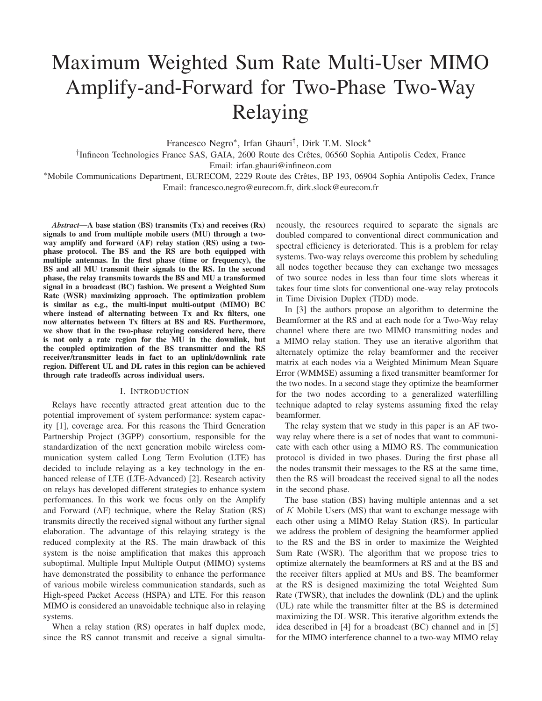# Maximum Weighted Sum Rate Multi-User MIMO Amplify-and-Forward for Two-Phase Two-Way Relaying

Francesco Negro∗, Irfan Ghauri†, Dirk T.M. Slock∗

†Infineon Technologies France SAS, GAIA, 2600 Route des Cretes, 06560 Sophia Antipolis Cedex, France ˆ Email: irfan.ghauri@infineon.com

∗Mobile Communications Department, EURECOM, 2229 Route des Cretes, BP 193, 06904 Sophia Antipolis Cedex, France ˆ Email: francesco.negro@eurecom.fr, dirk.slock@eurecom.fr

*Abstract***—A base station (BS) transmits (Tx) and receives (Rx) signals to and from multiple mobile users (MU) through a twoway amplify and forward (AF) relay station (RS) using a twophase protocol. The BS and the RS are both equipped with multiple antennas. In the first phase (time or frequency), the BS and all MU transmit their signals to the RS. In the second phase, the relay transmits towards the BS and MU a transformed signal in a broadcast (BC) fashion. We present a Weighted Sum Rate (WSR) maximizing approach. The optimization problem is similar as e.g., the multi-input multi-output (MIMO) BC where instead of alternating between Tx and Rx filters, one now alternates between Tx filters at BS and RS. Furthermore, we show that in the two-phase relaying considered here, there is not only a rate region for the MU in the downlink, but the coupled optimization of the BS transmitter and the RS receiver/transmitter leads in fact to an uplink/downlink rate region. Different UL and DL rates in this region can be achieved through rate tradeoffs across individual users.**

#### I. INTRODUCTION

Relays have recently attracted great attention due to the potential improvement of system performance: system capacity [1], coverage area. For this reasons the Third Generation Partnership Project (3GPP) consortium, responsible for the standardization of the next generation mobile wireless communication system called Long Term Evolution (LTE) has decided to include relaying as a key technology in the enhanced release of LTE (LTE-Advanced) [2]. Research activity on relays has developed different strategies to enhance system performances. In this work we focus only on the Amplify and Forward (AF) technique, where the Relay Station (RS) transmits directly the received signal without any further signal elaboration. The advantage of this relaying strategy is the reduced complexity at the RS. The main drawback of this system is the noise amplification that makes this approach suboptimal. Multiple Input Multiple Output (MIMO) systems have demonstrated the possibility to enhance the performance of various mobile wireless communication standards, such as High-speed Packet Access (HSPA) and LTE. For this reason MIMO is considered an unavoidable technique also in relaying systems.

When a relay station (RS) operates in half duplex mode, since the RS cannot transmit and receive a signal simultaneously, the resources required to separate the signals are doubled compared to conventional direct communication and spectral efficiency is deteriorated. This is a problem for relay systems. Two-way relays overcome this problem by scheduling all nodes together because they can exchange two messages of two source nodes in less than four time slots whereas it takes four time slots for conventional one-way relay protocols in Time Division Duplex (TDD) mode.

In [3] the authors propose an algorithm to determine the Beamformer at the RS and at each node for a Two-Way relay channel where there are two MIMO transmitting nodes and a MIMO relay station. They use an iterative algorithm that alternately optimize the relay beamformer and the receiver matrix at each nodes via a Weighted Minimum Mean Square Error (WMMSE) assuming a fixed transmitter beamformer for the two nodes. In a second stage they optimize the beamformer for the two nodes according to a generalized waterfilling technique adapted to relay systems assuming fixed the relay beamformer.

The relay system that we study in this paper is an AF twoway relay where there is a set of nodes that want to communicate with each other using a MIMO RS. The communication protocol is divided in two phases. During the first phase all the nodes transmit their messages to the RS at the same time, then the RS will broadcast the received signal to all the nodes in the second phase.

The base station (BS) having multiple antennas and a set of K Mobile Users (MS) that want to exchange message with each other using a MIMO Relay Station (RS). In particular we address the problem of designing the beamformer applied to the RS and the BS in order to maximize the Weighted Sum Rate (WSR). The algorithm that we propose tries to optimize alternately the beamformers at RS and at the BS and the receiver filters applied at MUs and BS. The beamformer at the RS is designed maximizing the total Weighted Sum Rate (TWSR), that includes the downlink (DL) and the uplink (UL) rate while the transmitter filter at the BS is determined maximizing the DL WSR. This iterative algorithm extends the idea described in [4] for a broadcast (BC) channel and in [5] for the MIMO interference channel to a two-way MIMO relay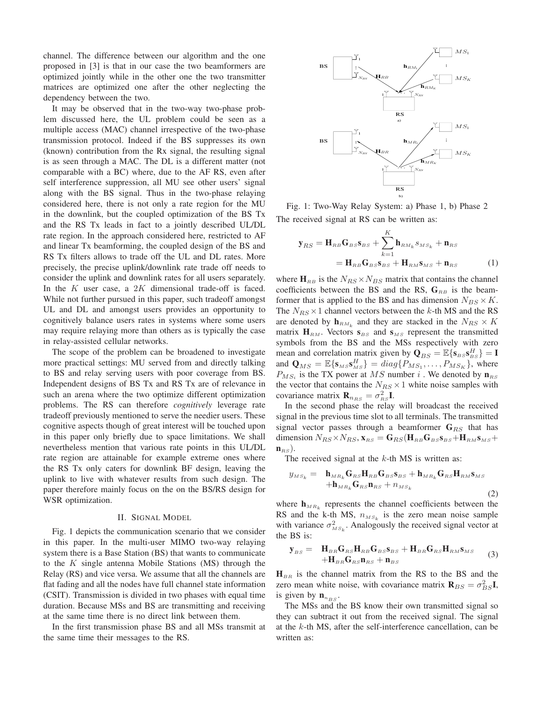channel. The difference between our algorithm and the one proposed in [3] is that in our case the two beamformers are optimized jointly while in the other one the two transmitter matrices are optimized one after the other neglecting the dependency between the two.

It may be observed that in the two-way two-phase problem discussed here, the UL problem could be seen as a multiple access (MAC) channel irrespective of the two-phase transmission protocol. Indeed if the BS suppresses its own (known) contribution from the Rx signal, the resulting signal is as seen through a MAC. The DL is a different matter (not comparable with a BC) where, due to the AF RS, even after self interference suppression, all MU see other users' signal along with the BS signal. Thus in the two-phase relaying considered here, there is not only a rate region for the MU in the downlink, but the coupled optimization of the BS Tx and the RS Tx leads in fact to a jointly described UL/DL rate region. In the approach considered here, restricted to AF and linear Tx beamforming, the coupled design of the BS and RS Tx filters allows to trade off the UL and DL rates. More precisely, the precise uplink/downlink rate trade off needs to consider the uplink and downlink rates for all users separately. In the  $K$  user case, a  $2K$  dimensional trade-off is faced. While not further pursued in this paper, such tradeoff amongst UL and DL and amongst users provides an opportunity to cognitively balance users rates in systems where some users may require relaying more than others as is typically the case in relay-assisted cellular networks.

The scope of the problem can be broadened to investigate more practical settings: MU served from and directly talking to BS and relay serving users with poor coverage from BS. Independent designs of BS Tx and RS Tx are of relevance in such an arena where the two optimize different optimization problems. The RS can therefore *cognitively* leverage rate tradeoff previously mentioned to serve the needier users. These cognitive aspects though of great interest will be touched upon in this paper only briefly due to space limitations. We shall nevertheless mention that various rate points in this UL/DL rate region are attainable for example extreme ones where the RS Tx only caters for downlink BF design, leaving the uplink to live with whatever results from such design. The paper therefore mainly focus on the on the BS/RS design for WSR optimization.

## II. SIGNAL MODEL

Fig. 1 depicts the communication scenario that we consider in this paper. In the multi-user MIMO two-way relaying system there is a Base Station (BS) that wants to communicate to the  $K$  single antenna Mobile Stations (MS) through the Relay (RS) and vice versa. We assume that all the channels are flat fading and all the nodes have full channel state information (CSIT). Transmission is divided in two phases with equal time duration. Because MSs and BS are transmitting and receiving at the same time there is no direct link between them.

In the first transmission phase BS and all MSs transmit at the same time their messages to the RS.



Fig. 1: Two-Way Relay System: a) Phase 1, b) Phase 2 The received signal at RS can be written as:

$$
\mathbf{y}_{RS} = \mathbf{H}_{RB} \mathbf{G}_{BS} \mathbf{s}_{BS} + \sum_{k=1}^{K} \mathbf{h}_{RM_k} s_{MS_k} + \mathbf{n}_{RS}
$$

$$
= \mathbf{H}_{RB} \mathbf{G}_{BS} \mathbf{s}_{BS} + \mathbf{H}_{RM} \mathbf{s}_{MS} + \mathbf{n}_{RS}
$$
(1)

where  $H_{RB}$  is the  $N_{RS} \times N_{BS}$  matrix that contains the channel coefficients between the BS and the RS,  $\mathbf{G}_{RB}$  is the beamformer that is applied to the BS and has dimension  $N_{BS} \times K$ . The  $N_{RS} \times 1$  channel vectors between the k-th MS and the RS are denoted by  $h_{RM_k}$  and they are stacked in the  $N_{RS} \times K$ matrix  $\mathbf{H}_{RM}$ . Vectors  $\mathbf{s}_{BS}$  and  $\mathbf{s}_{MS}$  represent the transmitted symbols from the BS and the MSs respectively with zero mean and correlation matrix given by  $\mathbf{Q}_{BS} = \mathbb{E}\{\mathbf{s}_{BS}\mathbf{s}_{BS}^H\} = \mathbf{I}$ and  $\mathbf{Q}_{MS} = \mathbb{E}\{\mathbf{s}_{MS}\mathbf{s}_{MS}^H\} = diag\{P_{MS_1}, \ldots, P_{MS_K}\},$  where  $P_{MS_i}$  is the TX power at MS number i. We denoted by  $\mathbf{n}_{RS}$ the vector that contains the  $N_{RS} \times 1$  white noise samples with covariance matrix  $\mathbf{R}_{n_{RS}} = \sigma_{RS}^2 \mathbf{I}$ .

In the second phase the relay will broadcast the received signal in the previous time slot to all terminals. The transmitted signal vector passes through a beamformer  $\mathbf{G}_{RS}$  that has dimension  $N_{RS} \times N_{RS}$ ,  $\mathbf{x}_{RS} = \mathbf{G}_{RS} (\mathbf{H}_{RB} \mathbf{G}_{BS} \mathbf{s}_{BS} + \mathbf{H}_{RM} \mathbf{s}_{MS} + \mathbf{H}_{RM} \mathbf{s}_{MS})$  $\mathbf{n}_{RS}$ ).

The received signal at the  $k$ -th MS is written as:

$$
y_{MS_k} = \mathbf{h}_{MR_k} \mathbf{G}_{RS} \mathbf{H}_{RB} \mathbf{G}_{BS} \mathbf{s}_{BS} + \mathbf{h}_{MR_k} \mathbf{G}_{RS} \mathbf{H}_{RM} \mathbf{s}_{MS} + \mathbf{h}_{MR_k} \mathbf{G}_{RS} \mathbf{n}_{RS} + n_{MS_k}
$$
(2)

where  $h_{MR_k}$  represents the channel coefficients between the RS and the k-th MS,  $n_{MS_k}$  is the zero mean noise sample with variance  $\sigma_{M_{S_k}}^2$ . Analogously the received signal vector at the BS is:

$$
\mathbf{y}_{_{BS}} = \mathbf{H}_{_{BR}} \mathbf{G}_{_{RS}} \mathbf{H}_{_{RB}} \mathbf{G}_{_{BS}} \mathbf{s}_{_{BS}} + \mathbf{H}_{_{BR}} \mathbf{G}_{_{RS}} \mathbf{H}_{_{RM}} \mathbf{s}_{_{MS}} \qquad (3)
$$

 $H_{BR}$  is the channel matrix from the RS to the BS and the zero mean white noise, with covariance matrix  $\mathbf{R}_{BS} = \sigma_{BS}^2 \mathbf{I}$ , is given by  $\mathbf{n}_{nBS}$ .

The MSs and the BS know their own transmitted signal so they can subtract it out from the received signal. The signal at the  $k$ -th MS, after the self-interference cancellation, can be written as: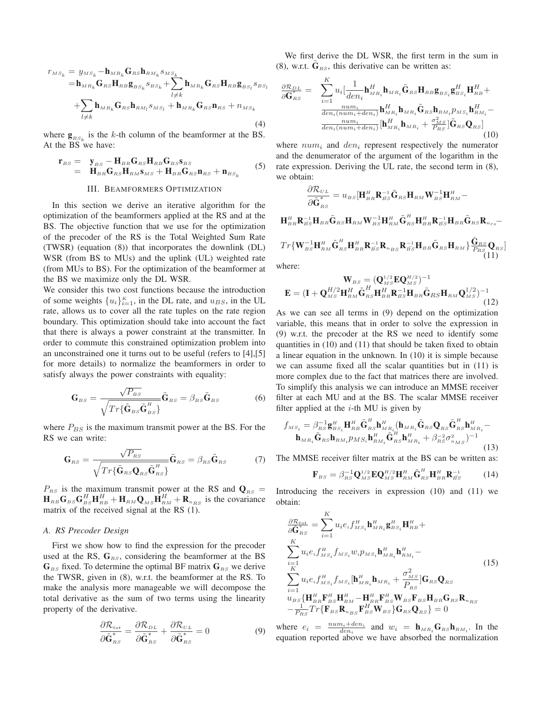$$
r_{MS_k} = y_{MS_k} - \mathbf{h}_{MR_k} \mathbf{G}_{RS} \mathbf{h}_{RM_k} s_{MS_k}
$$
  
\n
$$
= \mathbf{h}_{MR_k} \mathbf{G}_{RS} \mathbf{H}_{RB} \mathbf{g}_{BS_k} s_{BS_k} + \sum_{l \neq k} \mathbf{h}_{MR_k} \mathbf{G}_{RS} \mathbf{H}_{RB} \mathbf{g}_{BS_l} s_{BS_l}
$$
  
\n
$$
+ \sum_{l \neq k} \mathbf{h}_{MR_k} \mathbf{G}_{RS} \mathbf{h}_{RM_l} s_{MS_l} + \mathbf{h}_{MR_k} \mathbf{G}_{RS} \mathbf{n}_{RS} + n_{MS_k}
$$
\n(4)

where  $\mathbf{g}_{BS_k}$  is the k-th column of the beamformer at the BS. At the BS we have:

$$
\mathbf{r}_{BS} = \mathbf{y}_{BS} - \mathbf{H}_{BR} \mathbf{G}_{RS} \mathbf{H}_{RB} \mathbf{G}_{BS} \mathbf{s}_{BS} \n= \mathbf{H}_{BR} \mathbf{G}_{RS} \mathbf{H}_{RM} \mathbf{s}_{MS} + \mathbf{H}_{BR} \mathbf{G}_{RS} \mathbf{n}_{RS} + \mathbf{n}_{BS_k}
$$
\n(5)

## III. BEAMFORMERS OPTIMIZATION

In this section we derive an iterative algorithm for the optimization of the beamformers applied at the RS and at the BS. The objective function that we use for the optimization of the precoder of the RS is the Total Weighted Sum Rate (TWSR) (equation (8)) that incorporates the downlink (DL) WSR (from BS to MUs) and the uplink (UL) weighted rate (from MUs to BS). For the optimization of the beamformer at the BS we maximize only the DL WSR.

We consider this two cost functions because the introduction of some weights  $\{u_i\}_{i=1}^K$ , in the DL rate, and  $u_{BS}$ , in the UL rate, allows us to cover all the rate tuples on the rate region boundary. This optimization should take into account the fact that there is always a power constraint at the transmitter. In order to commute this constrained optimization problem into an unconstrained one it turns out to be useful (refers to [4],[5] for more details) to normalize the beamformers in order to satisfy always the power constraints with equality:

$$
\mathbf{G}_{BS} = \frac{\sqrt{P_{BS}}}{\sqrt{Tr{\{\tilde{\mathbf{G}}_{BS}\tilde{\mathbf{G}}_{BS}^H\}}}}\tilde{\mathbf{G}}_{BS} = \beta_{BS}\tilde{\mathbf{G}}_{BS}
$$
(6)

where  $P_{BS}$  is the maximum transmit power at the BS. For the RS we can write:

$$
\mathbf{G}_{RS} = \frac{\sqrt{P_{RS}}}{\sqrt{Tr{\{\tilde{\mathbf{G}}_{RS}\mathbf{Q}_{RS}\tilde{\mathbf{G}}_{RS}^H\}}}}\tilde{\mathbf{G}}_{RS} = \beta_{RS}\tilde{\mathbf{G}}_{RS}
$$
(7)

 $P_{RS}$  is the maximum transmit power at the RS and  $Q_{RS}$  =  $\mathbf{H}_{RB}^{\text{BS}}\mathbf{G}_{BS}\mathbf{G}_{BS}^H\mathbf{H}_{RB}^H + \mathbf{H}_{RM}\mathbf{Q}_{MS}\mathbf{H}_{RM}^H + \mathbf{R}_{n_{RS}}$  is the covariance matrix of the received signal at the RS (1).

## *A. RS Precoder Design*

First we show how to find the expression for the precoder used at the RS,  $G_{RS}$ , considering the beamformer at the BS  $\mathbf{G}_{BS}$  fixed. To determine the optimal BF matrix  $\mathbf{G}_{RS}$  we derive the TWSR, given in (8), w.r.t. the beamformer at the RS. To make the analysis more manageable we will decompose the total derivative as the sum of two terms using the linearity property of the derivative.

$$
\frac{\partial \mathcal{R}_{tot}}{\partial \tilde{\mathbf{G}}_{RS}^*} = \frac{\partial \mathcal{R}_{DL}}{\partial \tilde{\mathbf{G}}_{RS}^*} + \frac{\partial \mathcal{R}_{UL}}{\partial \tilde{\mathbf{G}}_{RS}^*} = 0 \tag{9}
$$

We first derive the DL WSR, the first term in the sum in (8), w.r.t.  $\mathbf{G}_{RS}$ , this derivative can be written as:

$$
\frac{\partial \mathcal{R}_{DL}}{\partial \tilde{\mathbf{G}}_{RS}^{*}} = \sum_{i=1}^{K} u_i \left[ \frac{1}{den_i} \mathbf{h}_{MR_i}^H \mathbf{h}_{MR_i} \tilde{\mathbf{G}}_{RS} \mathbf{H}_{RB} \mathbf{g}_{BS_i} \mathbf{g}_{BS_i}^H \mathbf{H}_{RB}^H + \frac{num_i}{den_i(num_i + den_i)} \mathbf{h}_{MR_i}^H \mathbf{h}_{MR_i} \tilde{\mathbf{G}}_{RS} \mathbf{h}_{RM_i} p_{MS_i} \mathbf{h}_{RM_i}^H - \frac{num_i}{den_i(num_i + den_i)} [\mathbf{h}_{MR_i}^H \mathbf{h}_{MR_i} + \frac{\sigma_{MS}^2}{P_{RS}}] \tilde{\mathbf{G}}_{RS} \mathbf{Q}_{RS} \right]
$$
\n(10)

where  $num_i$  and  $den_i$  represent respectively the numerator and the denumerator of the argument of the logarithm in the rate expression. Deriving the UL rate, the second term in (8), we obtain:

$$
\frac{\partial \mathcal{R}_{UL}}{\partial \tilde{\mathbf{G}}_{RS}^{*}} = u_{BS} [\mathbf{H}_{BR}^{H} \mathbf{R}_{BS}^{-1} \tilde{\mathbf{G}}_{RS} \mathbf{H}_{RM} \mathbf{W}_{BS}^{-1} \mathbf{H}_{RM}^{H} -
$$
\n
$$
\mathbf{H}_{BR}^{H} \mathbf{R}_{BS}^{-1} \mathbf{H}_{BR} \tilde{\mathbf{G}}_{RS} \mathbf{H}_{RM} \mathbf{W}_{BS}^{-1} \mathbf{H}_{RM}^{H} \tilde{\mathbf{G}}_{RS}^{H} \mathbf{H}_{BR}^{H} \mathbf{R}_{BS}^{-1} \mathbf{H}_{BR} \tilde{\mathbf{G}}_{RS} \mathbf{R}_{n_{rs}}^{-1} -
$$
\n
$$
Tr \{ \mathbf{W}_{BS}^{-1} \mathbf{H}_{RM}^{H} \tilde{\mathbf{G}}_{RS}^{H} \mathbf{H}_{BR}^{H} \mathbf{R}_{BS}^{-1} \mathbf{R}_{RS} \mathbf{R}_{RS}^{-1} \mathbf{H}_{BR} \tilde{\mathbf{G}}_{RS} \mathbf{H}_{RM} \} \frac{\tilde{\mathbf{G}}_{RS}}{P_{RS}} \mathbf{Q}_{RS}]
$$
\n(11)

where:

$$
\mathbf{W}_{BS} = (\mathbf{Q}_{MS}^{1/2} \mathbf{E} \mathbf{Q}_{MS}^{H/2})^{-1}
$$

$$
\mathbf{E} = (\mathbf{I} + \mathbf{Q}_{MS}^{H/2} \mathbf{H}_{RM}^H \tilde{\mathbf{G}}_{RS}^H \mathbf{H}_{BR}^H \mathbf{R}_{BS}^{-1} \mathbf{H}_{BR} \tilde{\mathbf{G}}_{RS} \mathbf{H}_{RM} \mathbf{Q}_{MS}^{1/2})^{-1}
$$
(12)

As we can see all terms in (9) depend on the optimization variable, this means that in order to solve the expression in (9) w.r.t. the precoder at the RS we need to identify some quantities in (10) and (11) that should be taken fixed to obtain a linear equation in the unknown. In (10) it is simple because we can assume fixed all the scalar quantities but in (11) is more complex due to the fact that matrices there are involved. To simplify this analysis we can introduce an MMSE receiver filter at each MU and at the BS. The scalar MMSE receiver filter applied at the  $i$ -th MU is given by

$$
f_{MS_i} = \beta_{RS}^{-1} \mathbf{g}_{BS_i}^H \mathbf{H}_{RB}^H \tilde{\mathbf{G}}_{RS}^H \mathbf{h}_{MR_i}^H (\mathbf{h}_{MR_i} \tilde{\mathbf{G}}_{RS} \mathbf{Q}_{RS} \tilde{\mathbf{G}}_{RS}^H \mathbf{h}_{MR_i}^H - \mathbf{h}_{MR_i} \tilde{\mathbf{G}}_{RS} \mathbf{h}_{RM_i}^H p_{MS_i} \mathbf{h}_{RM_i}^H \tilde{\mathbf{G}}_{RS}^H \mathbf{h}_{MR_i}^H + \beta_{RS}^{-2} \sigma_{n_{MS}}^2)^{-1}
$$
(13)

The MMSE receiver filter matrix at the BS can be written as:

$$
\mathbf{F}_{BS} = \beta_{RS}^{-1} \mathbf{Q}_{MS}^{1/2} \mathbf{E} \mathbf{Q}_{MS}^{H/2} \mathbf{H}_{RM}^{H} \tilde{\mathbf{G}}_{RS}^{H} \mathbf{H}_{BR}^{H} \mathbf{R}_{BS}^{-1}
$$
 (14)

Introducing the receivers in expression (10) and (11) we obtain:

$$
\frac{\partial \mathcal{R}_{tot}}{\partial \tilde{\mathbf{G}}_{RS}^{*}} = \sum_{i=1}^{K} u_i e_i f_{MS_i}^H \mathbf{h}_{MR_i}^H \mathbf{g}_{BS_i}^H \mathbf{H}_{RB}^H +
$$
\n
$$
\sum_{i=1}^{K} u_i e_i f_{MS_i}^H f_{MS_i} w_i p_{MS_i} \mathbf{h}_{MR_i}^H \mathbf{h}_{RM_i}^H -
$$
\n
$$
\sum_{i=1}^{K} u_i e_i f_{MS_i}^H f_{MS_i} [\mathbf{h}_{MR_i}^H \mathbf{h}_{MR_i} + \frac{\sigma_{MS}^2}{P_{RS}}] \mathbf{G}_{RS} \mathbf{Q}_{RS}
$$
\n
$$
u_{BS} {\mathbf{H}_{BR}^H \mathbf{F}_{BS}^H \mathbf{H}_{RM}^H - \mathbf{H}_{BR}^H \mathbf{F}_{BS}^H \mathbf{W}_{BS} \mathbf{F}_{BS} \mathbf{H}_{BR} \mathbf{G}_{RS} \mathbf{R}_{n_{RS}} - \frac{1}{P_{RS}} Tr{\mathbf{F}_{BS}^H \mathbf{R}_{BS} \mathbf{W}_{BS}} G_{RS} \mathbf{Q}_{RS} = 0
$$
\n(15)

where  $e_i = \frac{num_i + den_i}{den_i}$  and  $w_i = \mathbf{h}_{MR_i} \mathbf{G}_{RS} \mathbf{h}_{RM_i}$ . In the equation reported above we have absorbed the normalization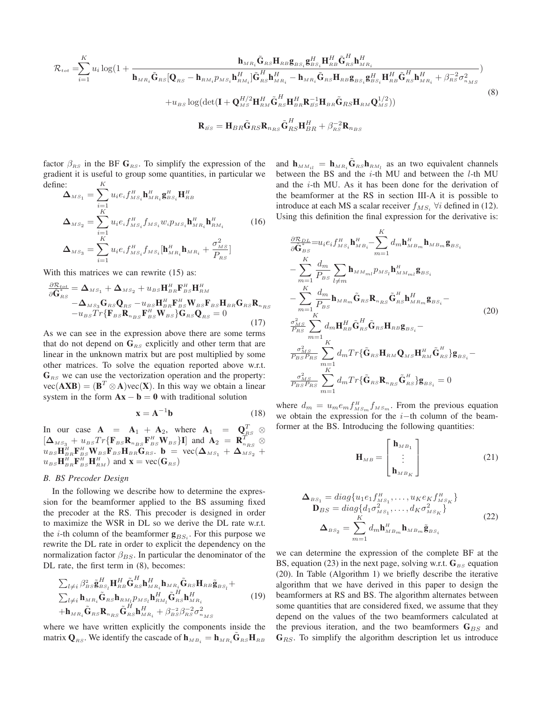$$
\mathcal{R}_{tot} = \sum_{i=1}^{K} u_i \log(1 + \frac{\mathbf{h}_{M_{R_i}} \tilde{\mathbf{G}}_{RS} \mathbf{H}_{RB} \mathbf{g}_{BS_i} \mathbf{g}_{BS_i}^H \mathbf{H}_{RB}^H \tilde{\mathbf{G}}_{RS}^H \mathbf{h}_{M_{R_i}}^H}{\mathbf{h}_{M_{R_i}} \tilde{\mathbf{G}}_{RS} [\mathbf{Q}_{RS} - \mathbf{h}_{RM_i} p_{Ms_i} \mathbf{h}_{RM_i}^H] \tilde{\mathbf{G}}_{RS}^H \mathbf{h}_{M_{R_i}}^H - \mathbf{h}_{M_{R_i}} \tilde{\mathbf{G}}_{RS} \mathbf{H}_{RB} \mathbf{g}_{BS_i} \mathbf{g}_{BS_i}^H \mathbf{H}_{RB}^H \tilde{\mathbf{G}}_{RS}^H \mathbf{h}_{M_{R_i}}^H + \beta_{RS}^{-2} \sigma_{n_{MS}}^2) + u_{BS} \log(\det(\mathbf{I} + \mathbf{Q}_{MS}^{H/2} \mathbf{H}_{RM}^H \tilde{\mathbf{G}}_{RS}^H \mathbf{H}_{BR} \mathbf{R}_{BS}^{-1} \mathbf{H}_{BR} \tilde{\mathbf{G}}_{RS} \mathbf{H}_{RM} \mathbf{Q}_{MS}^{1/2}))
$$
\n
$$
\mathbf{R}_{BS} = \mathbf{H}_{BR} \tilde{\mathbf{G}}_{RS} \mathbf{R}_{n_{RS}} \tilde{\mathbf{G}}_{RS}^H \mathbf{H}_{BR}^H + \beta_{RS}^{-2} \mathbf{R}_{n_{BS}}
$$
\n(8)

factor  $\beta_{RS}$  in the BF  $\mathbf{G}_{RS}$ . To simplify the expression of the gradient it is useful to group some quantities, in particular we define: K

$$
\begin{aligned}\n\Delta_{MS_1} &= \sum_{i=1} u_i e_i f_{MS_i}^H \mathbf{h}_{MR_i}^H \mathbf{g}_{BS_i}^H \mathbf{H}_{RB}^H \\
\Delta_{MS_2} &= \sum_{i=1}^K u_i e_i f_{MS_i}^H f_{MS_i} w_i p_{MS_i} \mathbf{h}_{MR_i}^H \mathbf{h}_{RM_i}^H \\
\Delta_{MS_3} &= \sum_{i=1}^K u_i e_i f_{MS_i}^H f_{MS_i} [\mathbf{h}_{MR_i}^H \mathbf{h}_{MR_i} + \frac{\sigma_{MS}^2}{P_{RS}}]\n\end{aligned}\n\tag{16}
$$

With this matrices we can rewrite  $(15)$  as:

$$
\frac{\partial \mathcal{R}_{tot}}{\partial \tilde{\mathbf{G}}_{RS}^{*}} = \boldsymbol{\Delta}_{MS_1} + \boldsymbol{\Delta}_{MS_2} + u_{BS} \mathbf{H}_{BR}^H \mathbf{F}_{BS}^H \mathbf{H}_{RM}^H \n- \boldsymbol{\Delta}_{MS_3} \mathbf{G}_{RS} \mathbf{Q}_{RS} - u_{BS} \mathbf{H}_{BR}^H \mathbf{F}_{BS}^H \mathbf{W}_{BS} \mathbf{F}_{BS} \mathbf{H}_{BR} \mathbf{G}_{RS} \mathbf{R}_{n_{RS}} \n- u_{BS} Tr \{ \mathbf{F}_{BS} \mathbf{R}_{n_{BS} S}^H \mathbf{F}_{BS}^H \mathbf{W}_{BS} \} \mathbf{G}_{RS} \mathbf{Q}_{RS} = 0
$$
\n(17)

As we can see in the expression above there are some terms that do not depend on  $\mathbf{G}_{RS}$  explicitly and other term that are linear in the unknown matrix but are post multiplied by some other matrices. To solve the equation reported above w.r.t.  $G_{RS}$  we can use the vectorization operation and the property:  $vec(A \times B) = (B^T \otimes A)vec(X)$ . In this way we obtain a linear system in the form  $Ax - b = 0$  with traditional solution

$$
\mathbf{x} = \mathbf{A}^{-1} \mathbf{b} \tag{18}
$$

In our case  $\mathbf{A} = \mathbf{A}_1 + \mathbf{A}_2$ , where  $\mathbf{A}_1 = \mathbf{Q}_{RS}^T \otimes \mathbf{A}_2$  $[\Delta_{MS_3} + u_{BS}Tr\{\mathbf{F}_{BS}\mathbf{R}_{nBS}\mathbf{F}_{BS}^H\mathbf{W}_{BS}\}\mathbf{I}]$  and  $\mathbf{A}_2 = \mathbf{R}_{n_{BS}}^T$   $\otimes$  $u_{BS}$ **H**<sup>*H*</sup><sub>*BS</sub>***W**<sub>*BS*</sub>**F**<sub>*BS*</sub>**H**<sub>*BR*</sub>**G**<sub>*RS*</sub>. **b** = vec( $\Delta_{MS_1}$  +  $\Delta_{MS_2}$  +</sub>  $u_{BS}$ **H** $_{BB}^H$ **F** $_{BS}^H$ **H** $_{RM}^H$ ) and **x** = vec(**G**<sub>*RS*</sub>)</sub>

## *B. BS Precoder Design*

In the following we describe how to determine the expression for the beamformer applied to the BS assuming fixed the precoder at the RS. This precoder is designed in order to maximize the WSR in DL so we derive the DL rate w.r.t. the *i*-th column of the beamformer  $\mathbf{g}_{BS}$ . For this purpose we rewrite the DL rate in order to explicit the dependency on the normalization factor  $\beta_{BS}$ . In particular the denominator of the DL rate, the first term in (8), becomes:

$$
\sum_{l \neq i} \beta_{BS}^2 \tilde{\mathbf{g}}_{BS_l}^H \mathbf{H}_{RB}^H \tilde{\mathbf{G}}_{RS}^H \mathbf{h}_{MR_i}^H \mathbf{h}_{MR_i} \tilde{\mathbf{G}}_{RS} \mathbf{H}_{RB} \tilde{\mathbf{g}}_{BS_l} + \sum_{l \neq i} \mathbf{h}_{MR_i} \tilde{\mathbf{G}}_{RS} \mathbf{h}_{RM_l}^H p_{MS_l} \mathbf{h}_{RM_l}^H \tilde{\mathbf{G}}_{RS}^H \mathbf{h}_{MR_i}^H
$$
\n
$$
+ \mathbf{h}_{MR_i} \tilde{\mathbf{G}}_{RS} \mathbf{R}_{RS} \tilde{\mathbf{G}}_{RS}^H \mathbf{h}_{MR_i}^H + \beta_{BS}^{2/2} \beta_{RS}^{-2/2} \sigma_{n_{MS}}^{2}
$$
\n(19)

where we have written explicitly the components inside the matrix  $\mathbf{Q}_{RS}$ . We identify the cascade of  $\mathbf{h}_{MB_i} = \mathbf{h}_{MR} \mathbf{G}_{RS} \mathbf{H}_{RB}$ 

and  $h_{MM_{il}} = h_{MR_i} \tilde{G}_{RS} h_{RM_l}$  as an two equivalent channels between the BS and the  $i$ -th MU and between the  $l$ -th MU and the  $i$ -th MU. As it has been done for the derivation of the beamformer at the RS in section III-A it is possible to introduce at each MS a scalar receiver  $f_{MS_i}$  ∀i defined in (12). Using this definition the final expression for the derivative is:

$$
\frac{\partial \mathcal{R}_{DL}}{\partial \tilde{\mathbf{G}}_{BS}^{*}} = u_i e_i f_{MS_i}^H \mathbf{h}_{MB_i}^H - \sum_{m=1}^K d_m \mathbf{h}_{MB_m}^H \mathbf{h}_{MB_m} \mathbf{g}_{BS_i}
$$
\n
$$
- \sum_{m=1}^K \frac{d_m}{P_{BS}} \sum_{l \neq m} \mathbf{h}_{MM_{ml}} p_{MS_l} \mathbf{h}_{MM_{ml}}^H \mathbf{g}_{BS_i}
$$
\n
$$
- \sum_{m=1}^K \frac{d_m}{P_{BS}} \mathbf{h}_{MR_m} \tilde{\mathbf{G}}_{RS} \mathbf{R}_{n_{RS}} \tilde{\mathbf{G}}_{RS}^H \mathbf{h}_{M_{Rm}} \mathbf{g}_{BS_i} - \sum_{m=1}^K \frac{d_m}{P_{RS}} \sum_{m=1}^K d_m \mathbf{H}_{RB}^H \tilde{\mathbf{G}}_{RS}^H \mathbf{H}_{RB} \mathbf{g}_{BS_i} - \sum_{m=1}^K d_m \mathbf{H}_{TB}^H \tilde{\mathbf{G}}_{RS}^H \mathbf{H}_{RM} \mathbf{Q}_{MS} \mathbf{H}_{RM}^H \tilde{\mathbf{G}}_{RS}^H \mathbf{g}_{BS_i} - \sum_{K}^K \frac{\sigma_{MS}^2}{P_{BS}P_{RS}} \sum_{m=1}^K d_m Tr \{ \tilde{\mathbf{G}}_{RS} \mathbf{R}_{n_{RS}} \tilde{\mathbf{G}}_{RS}^H \mathbf{g}_{BS_i} = 0
$$
\n(20)

where  $d_m = u_m e_m f_{M S_m}^H f_{M S_m}$ . From the previous equation we obtain the expression for the  $i$ −th column of the beamformer at the BS. Introducing the following quantities:

$$
\mathbf{H}_{MB} = \begin{bmatrix} \mathbf{h}_{MB_1} \\ \vdots \\ \mathbf{h}_{MB_K} \end{bmatrix}
$$
 (21)

$$
\Delta_{BS_1} = diag\{u_1e_1f_{MS_1}^H, \dots, u_{K}e_Kf_{MS_K}^H\}
$$
  
\n
$$
\mathbf{D}_{BS} = diag\{d_1\sigma_{MS_1}^2, \dots, d_K\sigma_{MS_K}^2\}
$$
  
\n
$$
\Delta_{BS_2} = \sum_{m=1}^K d_m \mathbf{h}_{MB_m}^H \mathbf{h}_{MB_m} \tilde{\mathbf{g}}_{BS_i}
$$
\n(22)

we can determine the expression of the complete BF at the BS, equation (23) in the next page, solving w.r.t.  $\mathbf{G}_{BS}$  equation (20). In Table (Algorithm 1) we briefly describe the iterative algorithm that we have derived in this paper to design the beamformers at RS and BS. The algorithm alternates between some quantities that are considered fixed, we assume that they depend on the values of the two beamformers calculated at the previous iteration, and the two beamformers  $\mathbf{G}_{BS}$  and G<sub>RS</sub>. To simplify the algorithm description let us introduce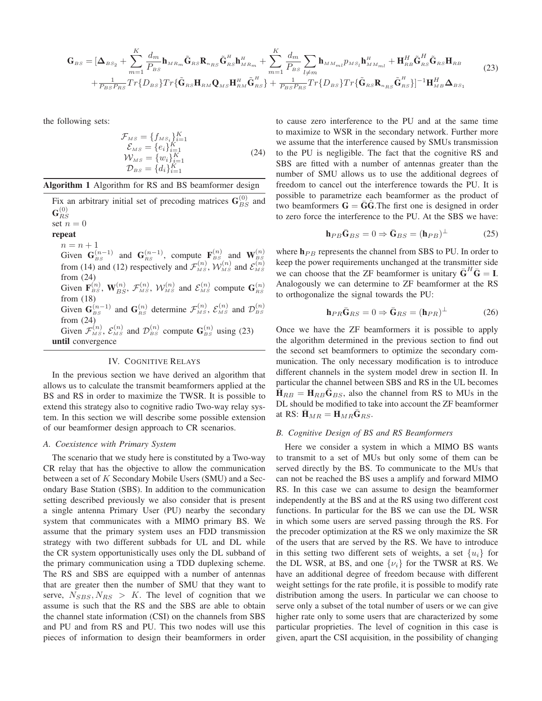$$
\mathbf{G}_{BS} = [\mathbf{\Delta}_{BS_2} + \sum_{m=1}^{K} \frac{d_m}{P_{BS}} \mathbf{h}_{MR_m} \tilde{\mathbf{G}}_{RS} \mathbf{R}_{n_{RS}} \tilde{\mathbf{G}}_{RS}^H \mathbf{h}_{MR_m}^H + \sum_{m=1}^{K} \frac{d_m}{P_{BS}} \sum_{l \neq m} \mathbf{h}_{MM_{ml}} p_{MS_l} \mathbf{h}_{M_{ml}}^H + \mathbf{H}_{RB}^H \tilde{\mathbf{G}}_{RS}^H \tilde{\mathbf{G}}_{RS} \mathbf{H}_{RB} + \frac{1}{P_{BS}P_{RS}} Tr\{D_{BS}\} Tr\{D_{BS}\} Tr\{ \tilde{\mathbf{G}}_{RS} \mathbf{H}_{RM} \mathbf{Q}_{MS} \mathbf{H}_{RM}^H \tilde{\mathbf{G}}_{RS}^H \} + \frac{1}{P_{BS}P_{RS}} Tr\{D_{BS}\} Tr\{ \tilde{\mathbf{G}}_{RS} \mathbf{R}_{n_{RS}} \tilde{\mathbf{G}}_{RS}^H \}]^{-1} \mathbf{H}_{MB}^H \mathbf{\Delta}_{BS_1}
$$
(23)

the following sets:

$$
\mathcal{F}_{MS} = \{f_{MS_i}\}_{i=1}^K
$$
\n
$$
\mathcal{E}_{MS} = \{e_i\}_{i=1}^K
$$
\n
$$
\mathcal{W}_{MS} = \{w_i\}_{i=1}^K
$$
\n
$$
\mathcal{D}_{BS} = \{d_i\}_{i=1}^K
$$
\n(24)

| Algorithm 1 Algorithm for RS and BS beamformer design |  |  |  |  |  |
|-------------------------------------------------------|--|--|--|--|--|
|-------------------------------------------------------|--|--|--|--|--|

Fix an arbitrary initial set of precoding matrices  $\mathbf{G}_{BS}^{(0)}$  and  $\mathbf{G}_{RS}^{(0)}$ set  $n = 0$ **repeat**  $n = n + 1$ <br>Given  $\mathbf{G}_{BS}^{(n-1)}$  and  $\mathbf{G}_{RS}^{(n-1)}$ , compute  $\mathbf{F}_{BS}^{(n)}$  and  $\mathbf{W}_{BS}^{(n)}$ from (14) and (12) respectively and  $\mathcal{F}_{MS}^{(n)}$ ,  $\mathcal{W}_{MS}^{(n)}$  and  $\mathcal{E}_{MS}^{(n)}$ from (24) Given  $\mathbf{F}_{BS}^{(n)}$ ,  $\mathbf{W}_{BS}^{(n)}$ ,  $\mathcal{F}_{MS}^{(n)}$ ,  $\mathcal{W}_{MS}^{(n)}$  and  $\mathcal{E}_{MS}^{(n)}$  compute  $\mathbf{G}_{RS}^{(n)}$ from (18) Given  $\mathbf{G}_{BS}^{(n-1)}$  and  $\mathbf{G}_{RS}^{(n)}$  determine  $\mathcal{F}_{MS}^{(n)}$ ,  $\mathcal{E}_{MS}^{(n)}$  and  $\mathcal{D}_{BS}^{(n)}$ from (24)<br>Given  $\mathcal{F}_{MS}^{(n)}$ ,  $\mathcal{E}_{MS}^{(n)}$  and  $\mathcal{D}_{BS}^{(n)}$  compute  $\mathbf{G}_{BS}^{(n)}$  using (23) **until** convergence

## IV. COGNITIVE RELAYS

In the previous section we have derived an algorithm that allows us to calculate the transmit beamformers applied at the BS and RS in order to maximize the TWSR. It is possible to extend this strategy also to cognitive radio Two-way relay system. In this section we will describe some possible extension of our beamformer design approach to CR scenarios.

#### *A. Coexistence with Primary System*

The scenario that we study here is constituted by a Two-way CR relay that has the objective to allow the communication between a set of K Secondary Mobile Users (SMU) and a Secondary Base Station (SBS). In addition to the communication setting described previously we also consider that is present a single antenna Primary User (PU) nearby the secondary system that communicates with a MIMO primary BS. We assume that the primary system uses an FDD transmission strategy with two different subbads for UL and DL while the CR system opportunistically uses only the DL subband of the primary communication using a TDD duplexing scheme. The RS and SBS are equipped with a number of antennas that are greater then the number of SMU that they want to serve,  $N_{SBS}$ ,  $N_{RS} > K$ . The level of cognition that we assume is such that the RS and the SBS are able to obtain the channel state information (CSI) on the channels from SBS and PU and from RS and PU. This two nodes will use this pieces of information to design their beamformers in order

to cause zero interference to the PU and at the same time to maximize to WSR in the secondary network. Further more we assume that the interference caused by SMUs transmission to the PU is negligible. The fact that the cognitive RS and SBS are fitted with a number of antennas greater than the number of SMU allows us to use the additional degrees of freedom to cancel out the interference towards the PU. It is possible to parametrize each beamformer as the product of two beamformers  $G = \overline{G} \overline{G}$ . The first one is designed in order to zero force the interference to the PU. At the SBS we have:

$$
\mathbf{h}_{PB}\bar{\mathbf{G}}_{BS} = 0 \Rightarrow \bar{\mathbf{G}}_{BS} = (\mathbf{h}_{PB})^{\perp} \tag{25}
$$

where  $h_{PB}$  represents the channel from SBS to PU. In order to keep the power requirements unchanged at the transmitter side we can choose that the ZF beamformer is unitary  $\bar{G}^H \bar{G} = I$ . Analogously we can determine to ZF beamformer at the RS to orthogonalize the signal towards the PU:

$$
\mathbf{h}_{PR}\bar{\mathbf{G}}_{RS} = 0 \Rightarrow \bar{\mathbf{G}}_{RS} = (\mathbf{h}_{PR})^{\perp} \tag{26}
$$

Once we have the ZF beamformers it is possible to apply the algorithm determined in the previous section to find out the second set beamformers to optimize the secondary communication. The only necessary modification is to introduce different channels in the system model drew in section II. In particular the channel between SBS and RS in the UL becomes  $\bar{\mathbf{H}}_{RB} = \mathbf{H}_{RB} \bar{\mathbf{G}}_{BS}$ , also the channel from RS to MUs in the DL should be modified to take into account the ZF beamformer at RS:  $\bar{\mathbf{H}}_{MR} = \mathbf{H}_{MR} \bar{\mathbf{G}}_{RS}$ .

#### *B. Cognitive Design of BS and RS Beamformers*

Here we consider a system in which a MIMO BS wants to transmit to a set of MUs but only some of them can be served directly by the BS. To communicate to the MUs that can not be reached the BS uses a amplify and forward MIMO RS. In this case we can assume to design the beamformer independently at the BS and at the RS using two different cost functions. In particular for the BS we can use the DL WSR in which some users are served passing through the RS. For the precoder optimization at the RS we only maximize the SR of the users that are served by the RS. We have to introduce in this setting two different sets of weights, a set  $\{u_i\}$  for the DL WSR, at BS, and one  $\{\nu_i\}$  for the TWSR at RS. We have an additional degree of freedom because with different weight settings for the rate profile, it is possible to modify rate distribution among the users. In particular we can choose to serve only a subset of the total number of users or we can give higher rate only to some users that are characterized by some particular proprieties. The level of cognition in this case is given, apart the CSI acquisition, in the possibility of changing